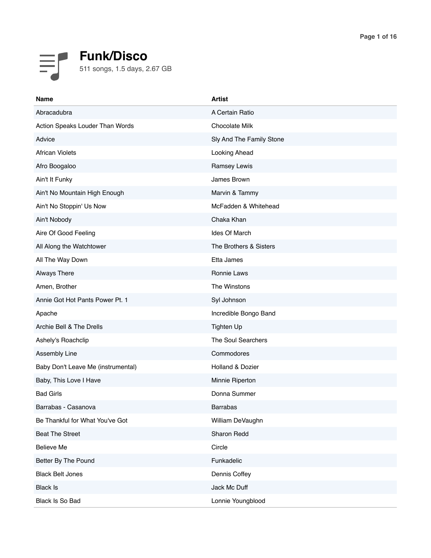

| <b>Name</b>                        | <b>Artist</b>            |
|------------------------------------|--------------------------|
| Abracadubra                        | A Certain Ratio          |
| Action Speaks Louder Than Words    | Chocolate Milk           |
| Advice                             | Sly And The Family Stone |
| <b>African Violets</b>             | Looking Ahead            |
| Afro Boogaloo                      | Ramsey Lewis             |
| Ain't It Funky                     | James Brown              |
| Ain't No Mountain High Enough      | Marvin & Tammy           |
| Ain't No Stoppin' Us Now           | McFadden & Whitehead     |
| Ain't Nobody                       | Chaka Khan               |
| Aire Of Good Feeling               | Ides Of March            |
| All Along the Watchtower           | The Brothers & Sisters   |
| All The Way Down                   | Etta James               |
| <b>Always There</b>                | Ronnie Laws              |
| Amen, Brother                      | The Winstons             |
| Annie Got Hot Pants Power Pt. 1    | Syl Johnson              |
| Apache                             | Incredible Bongo Band    |
| Archie Bell & The Drells           | <b>Tighten Up</b>        |
| Ashely's Roachclip                 | The Soul Searchers       |
| Assembly Line                      | Commodores               |
| Baby Don't Leave Me (instrumental) | Holland & Dozier         |
| Baby, This Love I Have             | Minnie Riperton          |
| <b>Bad Girls</b>                   | Donna Summer             |
| Barrabas - Casanova                | <b>Barrabas</b>          |
| Be Thankful for What You've Got    | William DeVaughn         |
| <b>Beat The Street</b>             | Sharon Redd              |
| Believe Me                         | Circle                   |
| Better By The Pound                | Funkadelic               |
| <b>Black Belt Jones</b>            | Dennis Coffey            |
| <b>Black Is</b>                    | Jack Mc Duff             |
| Black Is So Bad                    | Lonnie Youngblood        |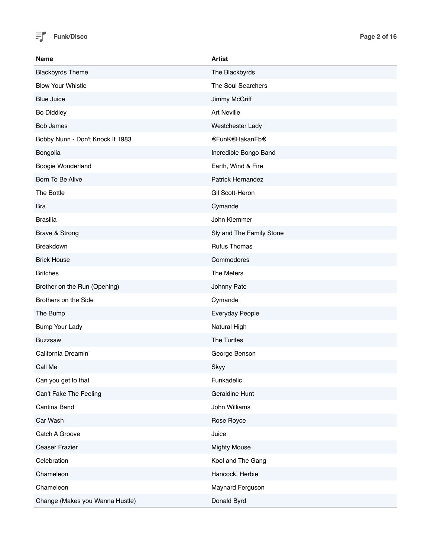

| <b>Name</b>                      | <b>Artist</b>            |
|----------------------------------|--------------------------|
| <b>Blackbyrds Theme</b>          | The Blackbyrds           |
| <b>Blow Your Whistle</b>         | The Soul Searchers       |
| <b>Blue Juice</b>                | Jimmy McGriff            |
| <b>Bo Diddley</b>                | <b>Art Neville</b>       |
| <b>Bob James</b>                 | Westchester Lady         |
| Bobby Nunn - Don't Knock It 1983 | €FunK€HakanFb€           |
| Bongolia                         | Incredible Bongo Band    |
| Boogie Wonderland                | Earth, Wind & Fire       |
| Born To Be Alive                 | <b>Patrick Hernandez</b> |
| The Bottle                       | Gil Scott-Heron          |
| <b>Bra</b>                       | Cymande                  |
| <b>Brasilia</b>                  | John Klemmer             |
| Brave & Strong                   | Sly and The Family Stone |
| Breakdown                        | <b>Rufus Thomas</b>      |
| <b>Brick House</b>               | Commodores               |
| <b>Britches</b>                  | The Meters               |
| Brother on the Run (Opening)     | Johnny Pate              |
| Brothers on the Side             | Cymande                  |
| The Bump                         | Everyday People          |
| Bump Your Lady                   | Natural High             |
| <b>Buzzsaw</b>                   | The Turtles              |
| California Dreamin'              | George Benson            |
| Call Me                          | Skyy                     |
| Can you get to that              | Funkadelic               |
| Can't Fake The Feeling           | Geraldine Hunt           |
| Cantina Band                     | John Williams            |
| Car Wash                         | Rose Royce               |
| Catch A Groove                   | Juice                    |
| Ceaser Frazier                   | <b>Mighty Mouse</b>      |
| Celebration                      | Kool and The Gang        |
| Chameleon                        | Hancock, Herbie          |
| Chameleon                        | Maynard Ferguson         |
| Change (Makes you Wanna Hustle)  | Donald Byrd              |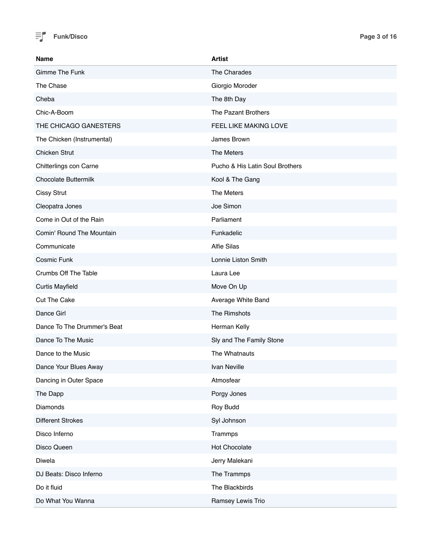

| <b>Name</b>                 | <b>Artist</b>                   |
|-----------------------------|---------------------------------|
| Gimme The Funk              | The Charades                    |
| The Chase                   | Giorgio Moroder                 |
| Cheba                       | The 8th Day                     |
| Chic-A-Boom                 | The Pazant Brothers             |
| THE CHICAGO GANESTERS       | FEEL LIKE MAKING LOVE           |
| The Chicken (Instrumental)  | James Brown                     |
| <b>Chicken Strut</b>        | The Meters                      |
| Chitterlings con Carne      | Pucho & His Latin Soul Brothers |
| <b>Chocolate Buttermilk</b> | Kool & The Gang                 |
| <b>Cissy Strut</b>          | The Meters                      |
| Cleopatra Jones             | Joe Simon                       |
| Come in Out of the Rain     | Parliament                      |
| Comin' Round The Mountain   | Funkadelic                      |
| Communicate                 | <b>Alfie Silas</b>              |
| Cosmic Funk                 | Lonnie Liston Smith             |
| Crumbs Off The Table        | Laura Lee                       |
| <b>Curtis Mayfield</b>      | Move On Up                      |
| <b>Cut The Cake</b>         | Average White Band              |
| Dance Girl                  | The Rimshots                    |
| Dance To The Drummer's Beat | Herman Kelly                    |
| Dance To The Music          | Sly and The Family Stone        |
| Dance to the Music          | The Whatnauts                   |
| Dance Your Blues Away       | Ivan Neville                    |
| Dancing in Outer Space      | Atmosfear                       |
| The Dapp                    | Porgy Jones                     |
| Diamonds                    | Roy Budd                        |
| <b>Different Strokes</b>    | Syl Johnson                     |
| Disco Inferno               | Trammps                         |
| Disco Queen                 | Hot Chocolate                   |
| Diwela                      | Jerry Malekani                  |
| DJ Beats: Disco Inferno     | The Trammps                     |
| Do it fluid                 | The Blackbirds                  |
| Do What You Wanna           | Ramsey Lewis Trio               |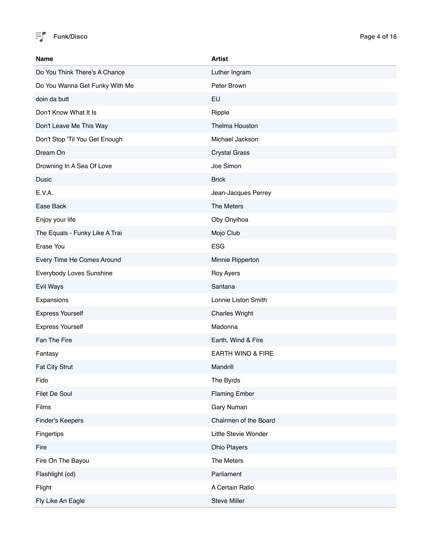

| <b>Name</b>                    | <b>Artist</b>         |
|--------------------------------|-----------------------|
| Do You Think There's A Chance  | Luther Ingram         |
| Do You Wanna Get Funky With Me | Peter Brown           |
| doin da butt                   | EU                    |
| Don't Know What It Is          | Ripple                |
| Don't Leave Me This Way        | Thelma Houston        |
| Don't Stop 'Til You Get Enough | Michael Jackson       |
| Dream On                       | <b>Crystal Grass</b>  |
| Drowning In A Sea Of Love      | Joe Simon             |
| Dusic                          | <b>Brick</b>          |
| E.V.A.                         | Jean-Jacques Perrey   |
| Ease Back                      | The Meters            |
| Enjoy your life                | Oby Onyihoa           |
| The Equals - Funky Like A Trai | Mojo Club             |
| Erase You                      | <b>ESG</b>            |
| Every Time He Comes Around     | Minnie Ripperton      |
| Everybody Loves Sunshine       | Roy Ayers             |
| Evil Ways                      | Santana               |
| Expansions                     | Lonnie Liston Smith   |
| <b>Express Yourself</b>        | <b>Charles Wright</b> |
| <b>Express Yourself</b>        | Madonna               |
| Fan The Fire                   | Earth, Wind & Fire    |
| Fantasy                        | EARTH WIND & FIRE     |
| <b>Fat City Strut</b>          | Mandrill              |
| Fido                           | The Byrds             |
| Filet De Soul                  | <b>Flaming Ember</b>  |
| Films                          | Gary Numan            |
| Finder's Keepers               | Chairmen of the Board |
| Fingertips                     | Little Stevie Wonder  |
| Fire                           | Ohio Players          |
| Fire On The Bayou              | The Meters            |
| Flashlight (cd)                | Parliament            |
| Flight                         | A Certain Ratio       |
| Fly Like An Eagle              | Steve Miller          |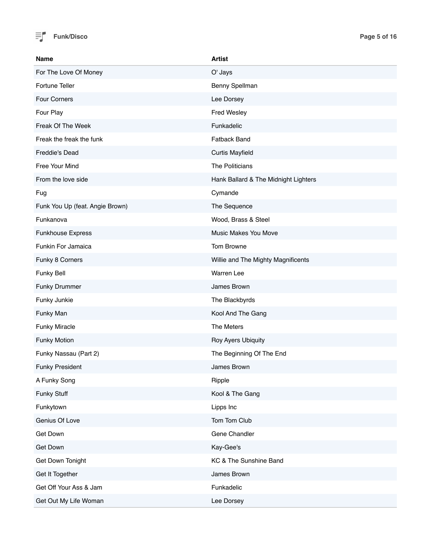

| <b>Name</b>                     | <b>Artist</b>                        |
|---------------------------------|--------------------------------------|
| For The Love Of Money           | O' Jays                              |
| Fortune Teller                  | Benny Spellman                       |
| Four Corners                    | Lee Dorsey                           |
| Four Play                       | Fred Wesley                          |
| Freak Of The Week               | Funkadelic                           |
| Freak the freak the funk        | <b>Fatback Band</b>                  |
| Freddie's Dead                  | <b>Curtis Mayfield</b>               |
| Free Your Mind                  | The Politicians                      |
| From the love side              | Hank Ballard & The Midnight Lighters |
| Fug                             | Cymande                              |
| Funk You Up (feat. Angie Brown) | The Sequence                         |
| Funkanova                       | Wood, Brass & Steel                  |
| <b>Funkhouse Express</b>        | Music Makes You Move                 |
| Funkin For Jamaica              | Tom Browne                           |
| Funky 8 Corners                 | Willie and The Mighty Magnificents   |
| Funky Bell                      | <b>Warren Lee</b>                    |
| <b>Funky Drummer</b>            | James Brown                          |
| Funky Junkie                    | The Blackbyrds                       |
| Funky Man                       | Kool And The Gang                    |
| <b>Funky Miracle</b>            | The Meters                           |
| <b>Funky Motion</b>             | Roy Ayers Ubiquity                   |
| Funky Nassau (Part 2)           | The Beginning Of The End             |
| <b>Funky President</b>          | James Brown                          |
| A Funky Song                    | Ripple                               |
| Funky Stuff                     | Kool & The Gang                      |
| Funkytown                       | Lipps Inc                            |
| Genius Of Love                  | Tom Tom Club                         |
| Get Down                        | Gene Chandler                        |
| Get Down                        | Kay-Gee's                            |
| Get Down Tonight                | KC & The Sunshine Band               |
| Get It Together                 | James Brown                          |
| Get Off Your Ass & Jam          | Funkadelic                           |
| Get Out My Life Woman           | Lee Dorsey                           |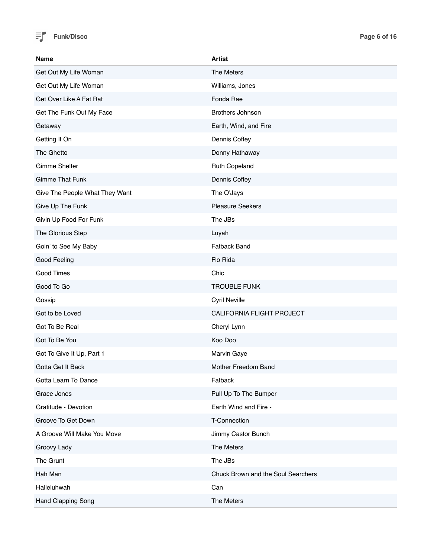

| <b>Name</b>                    | <b>Artist</b>                      |
|--------------------------------|------------------------------------|
| Get Out My Life Woman          | The Meters                         |
| Get Out My Life Woman          | Williams, Jones                    |
| Get Over Like A Fat Rat        | Fonda Rae                          |
| Get The Funk Out My Face       | Brothers Johnson                   |
| Getaway                        | Earth, Wind, and Fire              |
| Getting It On                  | Dennis Coffey                      |
| The Ghetto                     | Donny Hathaway                     |
| Gimme Shelter                  | Ruth Copeland                      |
| <b>Gimme That Funk</b>         | Dennis Coffey                      |
| Give The People What They Want | The O'Jays                         |
| Give Up The Funk               | <b>Pleasure Seekers</b>            |
| Givin Up Food For Funk         | The JBs                            |
| The Glorious Step              | Luyah                              |
| Goin' to See My Baby           | <b>Fatback Band</b>                |
| Good Feeling                   | Flo Rida                           |
| Good Times                     | Chic                               |
| Good To Go                     | <b>TROUBLE FUNK</b>                |
| Gossip                         | Cyril Neville                      |
| Got to be Loved                | CALIFORNIA FLIGHT PROJECT          |
| Got To Be Real                 | Cheryl Lynn                        |
| Got To Be You                  | Koo Doo                            |
| Got To Give It Up, Part 1      | Marvin Gaye                        |
| Gotta Get It Back              | Mother Freedom Band                |
| Gotta Learn To Dance           | Fatback                            |
| Grace Jones                    | Pull Up To The Bumper              |
| Gratitude - Devotion           | Earth Wind and Fire -              |
| Groove To Get Down             | T-Connection                       |
| A Groove Will Make You Move    | Jimmy Castor Bunch                 |
| Groovy Lady                    | The Meters                         |
| The Grunt                      | The JBs                            |
| Hah Man                        | Chuck Brown and the Soul Searchers |
| Halleluhwah                    | Can                                |
| Hand Clapping Song             | The Meters                         |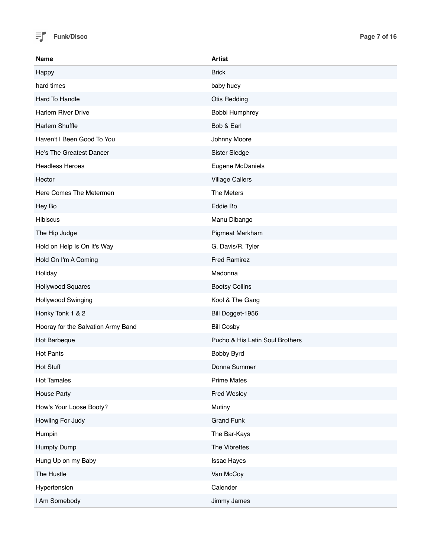

| <b>Name</b>                        | <b>Artist</b>                   |
|------------------------------------|---------------------------------|
| Happy                              | <b>Brick</b>                    |
| hard times                         | baby huey                       |
| Hard To Handle                     | <b>Otis Redding</b>             |
| Harlem River Drive                 | Bobbi Humphrey                  |
| Harlem Shuffle                     | Bob & Earl                      |
| Haven't I Been Good To You         | Johnny Moore                    |
| He's The Greatest Dancer           | Sister Sledge                   |
| <b>Headless Heroes</b>             | Eugene McDaniels                |
| Hector                             | <b>Village Callers</b>          |
| Here Comes The Metermen            | The Meters                      |
| Hey Bo                             | Eddie Bo                        |
| <b>Hibiscus</b>                    | Manu Dibango                    |
| The Hip Judge                      | Pigmeat Markham                 |
| Hold on Help Is On It's Way        | G. Davis/R. Tyler               |
| Hold On I'm A Coming               | <b>Fred Ramirez</b>             |
| Holiday                            | Madonna                         |
| Hollywood Squares                  | <b>Bootsy Collins</b>           |
| Hollywood Swinging                 | Kool & The Gang                 |
| Honky Tonk 1 & 2                   | Bill Dogget-1956                |
| Hooray for the Salvation Army Band | <b>Bill Cosby</b>               |
| Hot Barbeque                       | Pucho & His Latin Soul Brothers |
| <b>Hot Pants</b>                   | Bobby Byrd                      |
| <b>Hot Stuff</b>                   | Donna Summer                    |
| <b>Hot Tamales</b>                 | <b>Prime Mates</b>              |
| <b>House Party</b>                 | Fred Wesley                     |
| How's Your Loose Booty?            | Mutiny                          |
| Howling For Judy                   | <b>Grand Funk</b>               |
| Humpin                             | The Bar-Kays                    |
| Humpty Dump                        | The Vibrettes                   |
| Hung Up on my Baby                 | <b>Issac Hayes</b>              |
| The Hustle                         | Van McCoy                       |
| Hypertension                       | Calender                        |
| I Am Somebody                      | Jimmy James                     |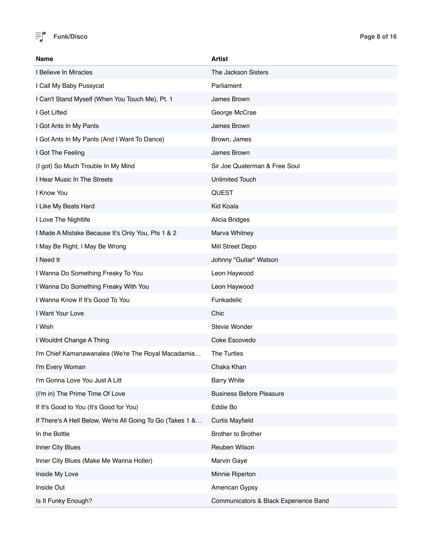

| Name                                                      | Artist                                |
|-----------------------------------------------------------|---------------------------------------|
| I Believe In Miracles                                     | The Jackson Sisters                   |
| I Call My Baby Pussycat                                   | Parliament                            |
| I Can't Stand Myself (When You Touch Me), Pt. 1           | James Brown                           |
| I Get Lifted                                              | George McCrae                         |
| I Got Ants In My Pants                                    | James Brown                           |
| I Got Ants In My Pants (And I Want To Dance)              | Brown, James                          |
| I Got The Feeling                                         | James Brown                           |
| (I got) So Much Trouble In My Mind                        | Sir Joe Quaterman & Free Soul         |
| I Hear Music In The Streets                               | <b>Unlimited Touch</b>                |
| I Know You                                                | <b>QUEST</b>                          |
| I Like My Beats Hard                                      | Kid Koala                             |
| I Love The Nightlife                                      | Alicia Bridges                        |
| I Made A Mistake Because It's Only You, Pts 1 & 2         | Marva Whitney                         |
| I May Be Right, I May Be Wrong                            | Mill Street Depo                      |
| I Need It                                                 | Johnny "Guitar" Watson                |
| I Wanna Do Something Freaky To You                        | Leon Haywood                          |
| I Wanna Do Something Freaky With You                      | Leon Haywood                          |
| I Wanna Know If It's Good To You                          | Funkadelic                            |
| I Want Your Love                                          | Chic                                  |
| I Wish                                                    | Stevie Wonder                         |
| I Wouldnt Change A Thing                                  | Coke Escovedo                         |
| I'm Chief Kamanawanalea (We're The Royal Macadamia        | The Turtles                           |
| I'm Every Woman                                           | Chaka Khan                            |
| I'm Gonna Love You Just A Litt                            | <b>Barry White</b>                    |
| (I'm in) The Prime Time Of Love                           | <b>Business Before Pleasure</b>       |
| If It's Good to You (It's Good for You)                   | Eddie Bo                              |
| If There's A Hell Below, We're All Going To Go (Takes 1 & | <b>Curtis Mayfield</b>                |
| In the Bottle                                             | <b>Brother to Brother</b>             |
| Inner City Blues                                          | Reuben Wilson                         |
| Inner City Blues (Make Me Wanna Holler)                   | Marvin Gaye                           |
| Inside My Love                                            | Minnie Riperton                       |
| Inside Out                                                | American Gypsy                        |
| Is It Funky Enough?                                       | Communicators & Black Experience Band |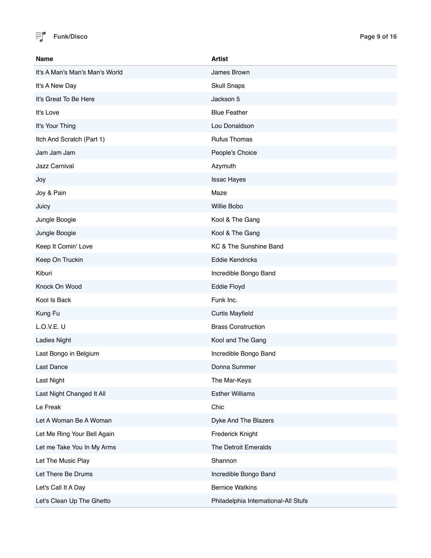

| <b>Name</b>                    | <b>Artist</b>                        |
|--------------------------------|--------------------------------------|
| It's A Man's Man's Man's World | James Brown                          |
| It's A New Day                 | <b>Skull Snaps</b>                   |
| It's Great To Be Here          | Jackson 5                            |
| It's Love                      | <b>Blue Feather</b>                  |
| It's Your Thing                | Lou Donaldson                        |
| Itch And Scratch (Part 1)      | <b>Rufus Thomas</b>                  |
| Jam Jam Jam                    | People's Choice                      |
| Jazz Carnival                  | Azymuth                              |
| Joy                            | <b>Issac Hayes</b>                   |
| Joy & Pain                     | Maze                                 |
| Juicy                          | Willie Bobo                          |
| Jungle Boogie                  | Kool & The Gang                      |
| Jungle Boogie                  | Kool & The Gang                      |
| Keep It Comin' Love            | KC & The Sunshine Band               |
| Keep On Truckin                | <b>Eddie Kendricks</b>               |
| Kiburi                         | Incredible Bongo Band                |
| Knock On Wood                  | Eddie Floyd                          |
| Kool Is Back                   | Funk Inc.                            |
| Kung Fu                        | <b>Curtis Mayfield</b>               |
| L.O.V.E. U                     | <b>Brass Construction</b>            |
| <b>Ladies Night</b>            | Kool and The Gang                    |
| Last Bongo in Belgium          | Incredible Bongo Band                |
| Last Dance                     | Donna Summer                         |
| <b>Last Night</b>              | The Mar-Keys                         |
| Last Night Changed It All      | <b>Esther Williams</b>               |
| Le Freak                       | Chic                                 |
| Let A Woman Be A Woman         | Dyke And The Blazers                 |
| Let Me Ring Your Bell Again    | Frederick Knight                     |
| Let me Take You In My Arms     | The Detroit Emeralds                 |
| Let The Music Play             | Shannon                              |
| Let There Be Drums             | Incredible Bongo Band                |
| Let's Call It A Day            | <b>Bernice Watkins</b>               |
| Let's Clean Up The Ghetto      | Philadelphia International-All Stufs |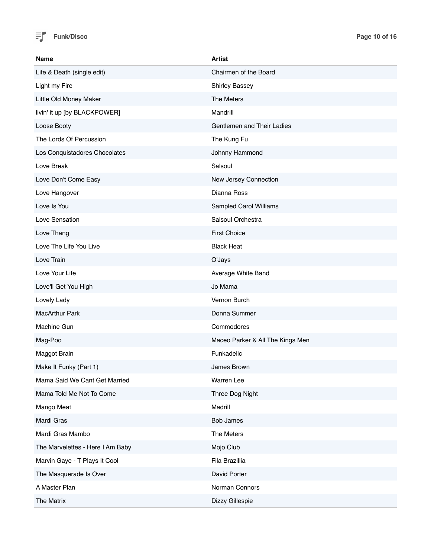

| <b>Name</b>                      | <b>Artist</b>                    |
|----------------------------------|----------------------------------|
| Life & Death (single edit)       | Chairmen of the Board            |
| Light my Fire                    | <b>Shirley Bassey</b>            |
| Little Old Money Maker           | The Meters                       |
| livin' it up [by BLACKPOWER]     | Mandrill                         |
| Loose Booty                      | Gentlemen and Their Ladies       |
| The Lords Of Percussion          | The Kung Fu                      |
| Los Conquistadores Chocolates    | Johnny Hammond                   |
| Love Break                       | Salsoul                          |
| Love Don't Come Easy             | New Jersey Connection            |
| Love Hangover                    | Dianna Ross                      |
| Love Is You                      | Sampled Carol Williams           |
| Love Sensation                   | Salsoul Orchestra                |
| Love Thang                       | <b>First Choice</b>              |
| Love The Life You Live           | <b>Black Heat</b>                |
| Love Train                       | O'Jays                           |
| Love Your Life                   | Average White Band               |
| Love'll Get You High             | Jo Mama                          |
| Lovely Lady                      | Vernon Burch                     |
| <b>MacArthur Park</b>            | Donna Summer                     |
| Machine Gun                      | Commodores                       |
| Mag-Poo                          | Maceo Parker & All The Kings Men |
| Maggot Brain                     | Funkadelic                       |
| Make It Funky (Part 1)           | James Brown                      |
| Mama Said We Cant Get Married    | Warren Lee                       |
| Mama Told Me Not To Come         | Three Dog Night                  |
| Mango Meat                       | Madrill                          |
| Mardi Gras                       | <b>Bob James</b>                 |
| Mardi Gras Mambo                 | The Meters                       |
| The Marvelettes - Here I Am Baby | Mojo Club                        |
| Marvin Gaye - T Plays It Cool    | Fila Brazillia                   |
| The Masquerade Is Over           | David Porter                     |
| A Master Plan                    | Norman Connors                   |
| The Matrix                       | Dizzy Gillespie                  |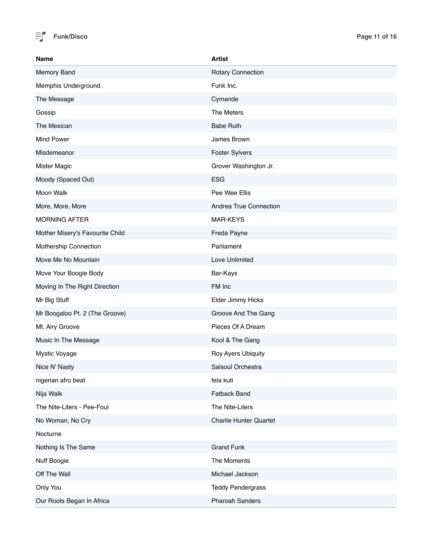

| <b>Name</b>                     | <b>Artist</b>                 |
|---------------------------------|-------------------------------|
| Memory Band                     | <b>Rotary Connection</b>      |
| Memphis Underground             | Funk Inc.                     |
| The Message                     | Cymande                       |
| Gossip                          | The Meters                    |
| The Mexican                     | <b>Babe Ruth</b>              |
| <b>Mind Power</b>               | James Brown                   |
| Misdemeanor                     | <b>Foster Sylvers</b>         |
| <b>Mister Magic</b>             | Grover Washington Jr.         |
| Moody (Spaced Out)              | <b>ESG</b>                    |
| Moon Walk                       | Pee Wee Ellis                 |
| More, More, More                | Andrea True Connection        |
| <b>MORNING AFTER</b>            | MAR-KEYS                      |
| Mother Misery's Favourite Child | Freda Payne                   |
| Mothership Connection           | Parliament                    |
| Move Me No Mountain             | Love Unlimited                |
| Move Your Boogie Body           | Bar-Kays                      |
| Moving In The Right Direction   | FM Inc                        |
| Mr Big Stuff                    | Elder Jimmy Hicks             |
| Mr Boogaloo Pt. 2 (The Groove)  | Groove And The Gang           |
| Mt. Airy Groove                 | Pieces Of A Dream             |
| Music In The Message            | Kool & The Gang               |
| Mystic Voyage                   | Roy Ayers Ubiquity            |
| Nice N' Nasty                   | Salsoul Orchestra             |
| nigerian afro beat              | fela kuti                     |
| Nija Walk                       | Fatback Band                  |
| The Nite-Liters - Pee-Foul      | The Nite-Liters               |
| No Woman, No Cry                | <b>Charlie Hunter Quartet</b> |
| Nocturne                        |                               |
| Nothing Is The Same             | <b>Grand Funk</b>             |
| Nuff Boogie                     | The Moments                   |
| Off The Wall                    | Michael Jackson               |
| Only You                        | <b>Teddy Pendergrass</b>      |
| Our Roots Began In Africa       | <b>Pharoah Sanders</b>        |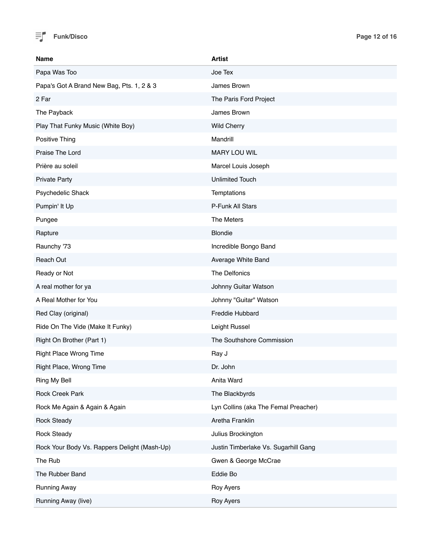

| <b>Name</b>                                  | <b>Artist</b>                        |
|----------------------------------------------|--------------------------------------|
| Papa Was Too                                 | Joe Tex                              |
| Papa's Got A Brand New Bag, Pts. 1, 2 & 3    | James Brown                          |
| 2 Far                                        | The Paris Ford Project               |
| The Payback                                  | James Brown                          |
| Play That Funky Music (White Boy)            | <b>Wild Cherry</b>                   |
| Positive Thing                               | Mandrill                             |
| Praise The Lord                              | MARY LOU WIL                         |
| Prière au soleil                             | Marcel Louis Joseph                  |
| <b>Private Party</b>                         | <b>Unlimited Touch</b>               |
| Psychedelic Shack                            | Temptations                          |
| Pumpin' It Up                                | P-Funk All Stars                     |
| Pungee                                       | The Meters                           |
| Rapture                                      | <b>Blondie</b>                       |
| Raunchy '73                                  | Incredible Bongo Band                |
| Reach Out                                    | Average White Band                   |
| Ready or Not                                 | The Delfonics                        |
| A real mother for ya                         | Johnny Guitar Watson                 |
| A Real Mother for You                        | Johnny "Guitar" Watson               |
| Red Clay (original)                          | <b>Freddie Hubbard</b>               |
| Ride On The Vide (Make It Funky)             | Leight Russel                        |
| Right On Brother (Part 1)                    | The Southshore Commission            |
| <b>Right Place Wrong Time</b>                | Ray J                                |
| Right Place, Wrong Time                      | Dr. John                             |
| Ring My Bell                                 | Anita Ward                           |
| Rock Creek Park                              | The Blackbyrds                       |
| Rock Me Again & Again & Again                | Lyn Collins (aka The Femal Preacher) |
| <b>Rock Steady</b>                           | Aretha Franklin                      |
| <b>Rock Steady</b>                           | Julius Brockington                   |
| Rock Your Body Vs. Rappers Delight (Mash-Up) | Justin Timberlake Vs. Sugarhill Gang |
| The Rub                                      | Gwen & George McCrae                 |
| The Rubber Band                              | Eddie Bo                             |
| <b>Running Away</b>                          | Roy Ayers                            |
| Running Away (live)                          | <b>Roy Ayers</b>                     |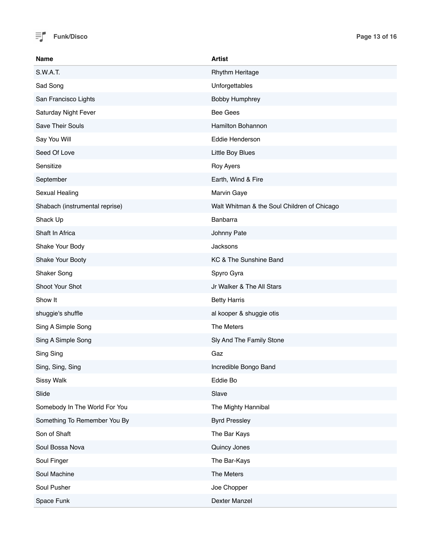

| <b>Name</b>                    | <b>Artist</b>                               |
|--------------------------------|---------------------------------------------|
| S.W.A.T.                       | <b>Rhythm Heritage</b>                      |
| Sad Song                       | Unforgettables                              |
| San Francisco Lights           | <b>Bobby Humphrey</b>                       |
| Saturday Night Fever           | <b>Bee Gees</b>                             |
| <b>Save Their Souls</b>        | Hamilton Bohannon                           |
| Say You Will                   | Eddie Henderson                             |
| Seed Of Love                   | Little Boy Blues                            |
| Sensitize                      | Roy Ayers                                   |
| September                      | Earth, Wind & Fire                          |
| Sexual Healing                 | Marvin Gaye                                 |
| Shabach (instrumental reprise) | Walt Whitman & the Soul Children of Chicago |
| Shack Up                       | Banbarra                                    |
| Shaft In Africa                | Johnny Pate                                 |
| Shake Your Body                | Jacksons                                    |
| Shake Your Booty               | KC & The Sunshine Band                      |
| Shaker Song                    | Spyro Gyra                                  |
| Shoot Your Shot                | Jr Walker & The All Stars                   |
| Show It                        | <b>Betty Harris</b>                         |
| shuggie's shuffle              | al kooper & shuggie otis                    |
| Sing A Simple Song             | The Meters                                  |
| Sing A Simple Song             | Sly And The Family Stone                    |
| Sing Sing                      | Gaz                                         |
| Sing, Sing, Sing               | Incredible Bongo Band                       |
| Sissy Walk                     | Eddie Bo                                    |
| Slide                          | Slave                                       |
| Somebody In The World For You  | The Mighty Hannibal                         |
| Something To Remember You By   | <b>Byrd Pressley</b>                        |
| Son of Shaft                   | The Bar Kays                                |
| Soul Bossa Nova                | Quincy Jones                                |
| Soul Finger                    | The Bar-Kays                                |
| Soul Machine                   | The Meters                                  |
| Soul Pusher                    | Joe Chopper                                 |
| Space Funk                     | Dexter Manzel                               |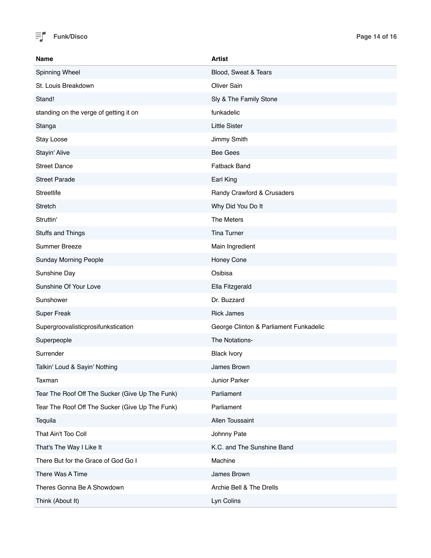

| Name                                            | <b>Artist</b>                          |
|-------------------------------------------------|----------------------------------------|
| Spinning Wheel                                  | Blood, Sweat & Tears                   |
| St. Louis Breakdown                             | <b>Oliver Sain</b>                     |
| Stand!                                          | Sly & The Family Stone                 |
| standing on the verge of getting it on          | funkadelic                             |
| Stanga                                          | <b>Little Sister</b>                   |
| Stay Loose                                      | Jimmy Smith                            |
| Stayin' Alive                                   | <b>Bee Gees</b>                        |
| <b>Street Dance</b>                             | Fatback Band                           |
| <b>Street Parade</b>                            | Earl King                              |
| <b>Streetlife</b>                               | Randy Crawford & Crusaders             |
| <b>Stretch</b>                                  | Why Did You Do It                      |
| Struttin'                                       | The Meters                             |
| Stuffs and Things                               | <b>Tina Turner</b>                     |
| Summer Breeze                                   | Main Ingredient                        |
| <b>Sunday Morning People</b>                    | Honey Cone                             |
| Sunshine Day                                    | Osibisa                                |
| Sunshine Of Your Love                           | Ella Fitzgerald                        |
| Sunshower                                       | Dr. Buzzard                            |
| <b>Super Freak</b>                              | <b>Rick James</b>                      |
| Supergroovalisticprosifunkstication             | George Clinton & Parliament Funkadelic |
| Superpeople                                     | The Notations-                         |
| Surrender                                       | <b>Black Ivory</b>                     |
| Talkin' Loud & Sayin' Nothing                   | James Brown                            |
| Taxman                                          | Junior Parker                          |
| Tear The Roof Off The Sucker (Give Up The Funk) | Parliament                             |
| Tear The Roof Off The Sucker (Give Up The Funk) | Parliament                             |
| Tequila                                         | Allen Toussaint                        |
| That Ain't Too Coll                             | Johnny Pate                            |
| That's The Way I Like It                        | K.C. and The Sunshine Band             |
| There But for the Grace of God Go I             | Machine                                |
| There Was A Time                                | James Brown                            |
| Theres Gonna Be A Showdown                      | Archie Bell & The Drells               |
| Think (About It)                                | Lyn Colins                             |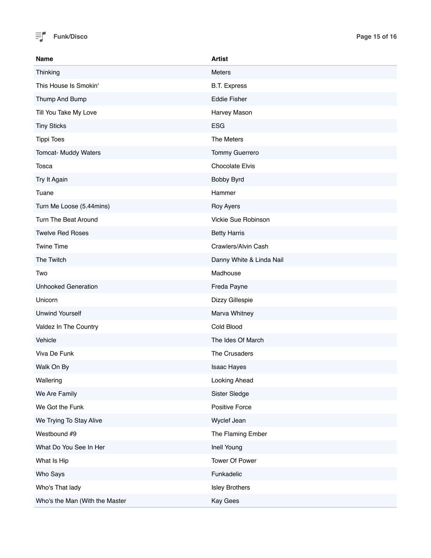

| <b>Name</b>                    | <b>Artist</b>            |
|--------------------------------|--------------------------|
| Thinking                       | Meters                   |
| This House Is Smokin'          | <b>B.T. Express</b>      |
| Thump And Bump                 | <b>Eddie Fisher</b>      |
| Till You Take My Love          | Harvey Mason             |
| <b>Tiny Sticks</b>             | <b>ESG</b>               |
| <b>Tippi Toes</b>              | The Meters               |
| Tomcat- Muddy Waters           | <b>Tommy Guerrero</b>    |
| Tosca                          | <b>Chocolate Elvis</b>   |
| Try It Again                   | Bobby Byrd               |
| Tuane                          | Hammer                   |
| Turn Me Loose (5.44mins)       | Roy Ayers                |
| Turn The Beat Around           | Vickie Sue Robinson      |
| <b>Twelve Red Roses</b>        | <b>Betty Harris</b>      |
| <b>Twine Time</b>              | Crawlers/Alvin Cash      |
| The Twitch                     | Danny White & Linda Nail |
| Two                            | Madhouse                 |
| <b>Unhooked Generation</b>     | Freda Payne              |
| Unicorn                        | Dizzy Gillespie          |
| <b>Unwind Yourself</b>         | Marva Whitney            |
| Valdez In The Country          | Cold Blood               |
| Vehicle                        | The Ides Of March        |
| Viva De Funk                   | The Crusaders            |
| Walk On By                     | <b>Isaac Hayes</b>       |
| Wallering                      | Looking Ahead            |
| We Are Family                  | Sister Sledge            |
| We Got the Funk                | Positive Force           |
| We Trying To Stay Alive        | Wyclef Jean              |
| Westbound #9                   | The Flaming Ember        |
| What Do You See In Her         | Inell Young              |
| What Is Hip                    | Tower Of Power           |
| Who Says                       | Funkadelic               |
| Who's That lady                | <b>Isley Brothers</b>    |
| Who's the Man (With the Master | Kay Gees                 |